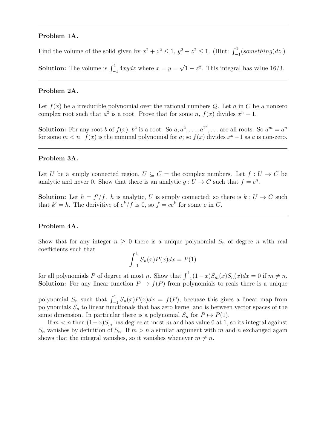#### Problem 1A.

Find the volume of the solid given by  $x^2 + z^2 \le 1$ ,  $y^2 + z^2 \le 1$ . (Hint:  $\int_{-1}^{1} (something) dz$ .)

**Solution:** The volume is  $\int_{-1}^{1} 4xydz$  where  $x = y =$ √  $1-z^2$ . This integral has value 16/3.

#### Problem 2A.

Let  $f(x)$  be a irreducible polynomial over the rational numbers Q. Let a in C be a nonzero complex root such that  $a^2$  is a root. Prove that for some n,  $f(x)$  divides  $x^n - 1$ .

**Solution:** For any root b of  $f(x)$ ,  $b^2$  is a root. So  $a, a^2, \ldots, a^{2^r}, \ldots$  are all roots. So  $a^m = a^n$ for some  $m < n$ .  $f(x)$  is the minimal polynomial for a; so  $f(x)$  divides  $x<sup>n</sup> - 1$  as a is non-zero.

#### Problem 3A.

Let U be a simply connected region,  $U \subseteq C =$  the complex numbers. Let  $f : U \to C$  be analytic and never 0. Show that there is an analytic  $g: U \to C$  such that  $f = e^g$ .

**Solution:** Let  $h = f'/f$ . h is analytic, U is simply connected; so there is  $k : U \to C$  such that  $k' = h$ . The derivitive of  $e^k/f$  is 0, so  $f = ce^k$  for some c in C.

## Problem 4A.

Show that for any integer  $n \geq 0$  there is a unique polynomial  $S_n$  of degree n with real coefficients such that

$$
\int_{-1}^{1} S_n(x)P(x)dx = P(1)
$$

for all polynomials P of degree at most n. Show that  $\int_{-1}^{1} (1-x)S_m(x)S_n(x)dx = 0$  if  $m \neq n$ . **Solution:** For any linear function  $P \to f(P)$  from polynomials to reals there is a unique

polynomial  $S_n$  such that  $\int_{-1}^{1} S_n(x)P(x)dx = f(P)$ , becuase this gives a linear map from polynomials  $S_n$  to linear functionals that has zero kernel and is between vector spaces of the same dimension. In particular there is a polynomial  $S_n$  for  $P \mapsto P(1)$ .

If  $m < n$  then  $(1-x)S_m$  has degree at most m and has value 0 at 1, so its integral against  $S_n$  vanishes by definition of  $S_n$ . If  $m > n$  a similar argument with m and n exchanged again shows that the integral vanishes, so it vanishes whenever  $m \neq n$ .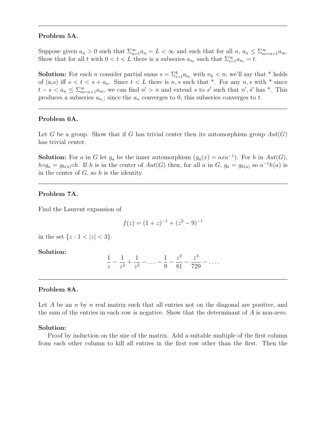## Problem 5A.

Suppose given  $a_n > 0$  such that  $\sum_{n=1}^{\infty} a_n = L < \infty$  and such that for all  $n, a_n \leq \sum_{m=n+1}^{\infty} a_m$ . Show that for all t with  $0 < t < L$  there is a subseries  $a_{n_i}$  such that  $\sum_{i=1}^{\infty} a_{n_i} = t$ .

**Solution:** For each *n* consider partial sums  $s = \sum_{i=1}^{k} a_{n_i}$  with  $n_k < n$ ; we'll say that \* holds of (n,s) iff  $s < t < s + a_n$ . Since  $t < L$  there is n, s such that \*. For any n, s with \* since  $t-s < a_n \leq \sum_{m=n+1}^{\infty} a_m$ , we can find  $n' > n$  and extend s to s' such that  $n'$ , s' has \*. This produces a subseries  $a_{n_i}$ ; since the  $a_n$  converges to 0, this subseries converges to t.

# Problem 6A.

Let G be a group. Show that if G has trivial center then its automorphism group  $Aut(G)$ has trivial center.

**Solution:** For a in G let  $g_a$  be the inner automorphism  $(g_a(x) = axa^{-1})$ . For h in  $Aut(G)$ ,  $h \circ g_a = g_{h(a)} \circ h$ . If h is in the center of  $Aut(G)$  then, for all a in G,  $g_a = g_{h(a)}$  so  $a^{-1}h(a)$  is in the center of  $G$ , so  $h$  is the identity.

## Problem 7A.

Find the Laurent expansion of

$$
f(z) = (1+z)^{-1} + (z^2 - 9)^{-1}
$$

in the set  $\{z : 1 < |z| < 3\}.$ 

Solution:

$$
\frac{1}{z} - \frac{1}{z^2} + \frac{1}{z^3} - \ldots - \frac{1}{9} - \frac{z^2}{81} - \frac{z^4}{729} - \ldots
$$

#### Problem 8A.

Let  $A$  be an  $n$  by  $n$  real matrix such that all entries not on the diagonal are positive, and the sum of the entries in each row is negative. Show that the determinant of A is non-zero.

#### Solution:

Proof by induction on the size of the matrix. Add a suitable multiple of the first column from each other column to kill all entries in the first row other than the first. Then the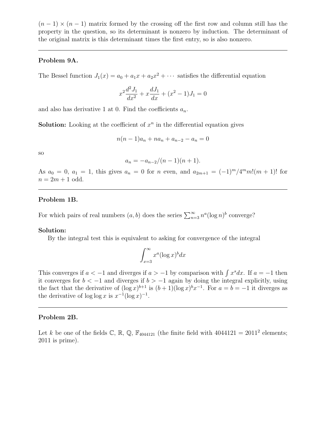$(n-1) \times (n-1)$  matrix formed by the crossing off the first row and column still has the property in the question, so its determinant is nonzero by induction. The determinant of the original matrix is this determinant times the first entry, so is also nonzero.

## Problem 9A.

The Bessel function  $J_1(x) = a_0 + a_1x + a_2x^2 + \cdots$  satisfies the differential equation

$$
x^{2}\frac{d^{2}J_{1}}{dx^{2}} + x\frac{dJ_{1}}{dx} + (x^{2} - 1)J_{1} = 0
$$

and also has derivative 1 at 0. Find the coefficients  $a_n$ .

**Solution:** Looking at the coefficient of  $x^n$  in the differential equation gives

$$
n(n-1)a_n + na_n + a_{n-2} - a_n = 0
$$

so

$$
a_n = -a_{n-2}/(n-1)(n+1).
$$

As  $a_0 = 0$ ,  $a_1 = 1$ , this gives  $a_n = 0$  for n even, and  $a_{2m+1} = (-1)^m / 4^m m! (m+1)!$  for  $n = 2m + 1$  odd.

#### Problem 1B.

For which pairs of real numbers  $(a, b)$  does the series  $\sum_{n=3}^{\infty} n^a (\log n)^b$  converge?

#### Solution:

By the integral test this is equivalent to asking for convergence of the integral

$$
\int_{x=3}^{\infty} x^a (\log x)^b dx
$$

This converges if  $a < -1$  and diverges if  $a > -1$  by comparison with  $\int x^s dx$ . If  $a = -1$  then it converges for  $b < -1$  and diverges if  $b > -1$  again by doing the integral explicitly, using the fact that the derivative of  $(\log x)^{b+1}$  is  $(b+1)(\log x)^{b}x^{-1}$ . For  $a=b=-1$  it diverges as the derivative of  $\log \log x$  is  $x^{-1}(\log x)^{-1}$ .

## Problem 2B.

Let k be one of the fields  $\mathbb{C}$ ,  $\mathbb{R}$ ,  $\mathbb{Q}$ ,  $\mathbb{F}_{4044121}$  (the finite field with  $4044121 = 2011^2$  elements; 2011 is prime).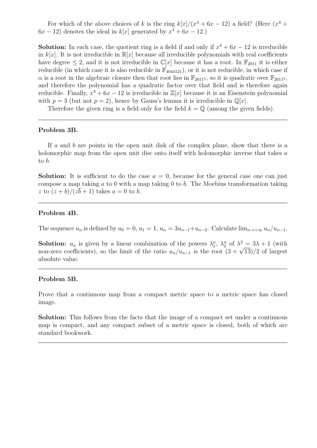For which of the above choices of k is the ring  $k[x]/(x^4 + 6x - 12)$  a field? (Here  $(x^4 +$  $6x - 12$ ) denotes the ideal in  $k[x]$  generated by  $x^4 + 6x - 12$ .

**Solution:** In each case, the quotient ring is a field if and only if  $x^4 + 6x - 12$  is irreducible in k[x]. It is not irreducible in  $\mathbb{R}[x]$  because all irreducible polynomials with real coefficients have degree  $\leq 2$ , and it is not irreducible in  $\mathbb{C}[x]$  because it has a root. In  $\mathbb{F}_{2011}$  it is either reducible (in which case it is also reducible in  $\mathbb{F}_{4044121}$ ), or it is not reducible, in which case if  $\alpha$  is a root in the algebraic closure then that root lies in  $\mathbb{F}_{2011^4}$ , so it is quadratic over  $\mathbb{F}_{2011^2}$ , and therefore the polynomial has a quadratic factor over that field and is therefore again reducible. Finally,  $x^4 + 6x - 12$  is irreducible in  $\mathbb{Z}[x]$  because it is an Eisenstein polynomial with  $p = 3$  (but not  $p = 2$ ), hence by Gauss's lemma it is irreducible in  $\mathbb{Q}[x]$ .

Therefore the given ring is a field only for the field  $k = \mathbb{Q}$  (among the given fields).

## Problem 3B.

If a and b are points in the open unit disk of the complex plane, show that there is a holomorphic map from the open unit disc onto itself with holomorphic inverse that takes a to b.

**Solution:** It is sufficient to do the case  $a = 0$ , because for the general case one can just compose a map taking  $a$  to 0 with a map taking 0 to  $b$ . The Moebius transformation taking z to  $(z + b)/(z\overline{b} + 1)$  takes  $a = 0$  to b.

## Problem 4B.

The sequence  $u_n$  is defined by  $u_0 = 0$ ,  $u_1 = 1$ ,  $u_n = 3u_{n-1}+u_{n-2}$ . Calculate  $\lim_{n\to+\infty} u_n/u_{n-1}$ .

**Solution:**  $u_n$  is given by a linear combination of the powers  $\lambda_1^n$ ,  $\lambda_2^n$  of  $\lambda^2 = 3\lambda + 1$  (with **Solution:**  $u_n$  is given by a linear combination of the powers  $\lambda_1^2$ ,  $\lambda_2^3$  of  $\lambda^2 = 3\lambda + 1$  (with non-zero coefficients), so the limit of the ratio  $u_n/u_{n-1}$  is the root  $(3 + \sqrt{13})/2$  of largest absolute value.

#### Problem 5B.

Prove that a continuous map from a compact metric space to a metric space has closed image.

Solution: This follows from the facts that the image of a compact set under a continuous map is compact, and any compact subset of a metric space is closed, both of which are standard bookwork.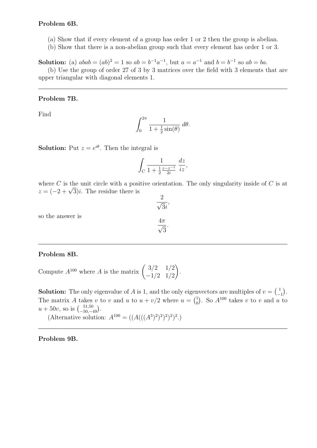# Problem 6B.

- (a) Show that if every element of a group has order 1 or 2 then the group is abelian.
- (b) Show that there is a non-abelian group such that every element has order 1 or 3.

**Solution:** (a)  $abab = (ab)^2 = 1$  so  $ab = b^{-1}a^{-1}$ , but  $a = a^{-1}$  and  $b = b^{-1}$  so  $ab = ba$ .

(b) Use the group of order 27 of 3 by 3 matrices over the field with 3 elements that are upper triangular with diagonal elements 1.

# Problem 7B.

Find

$$
\int_0^{2\pi} \frac{1}{1 + \frac{1}{2}\sin(\theta)} \, d\theta.
$$

**Solution:** Put  $z = e^{i\theta}$ . Then the integral is

$$
\int_C \frac{1}{1 + \frac{1}{2} \frac{z - z^{-1}}{2i}} \, \frac{dz}{iz},
$$

where C is the unit circle with a positive orientation. The only singularity inside of C is at where C is the unit circle with a posi<br> $z = (-2 + \sqrt{3})i$ . The residue there is 2

so the answer is

$$
\frac{4\pi}{\sqrt{3}}.
$$

√ 3i ,

# Problem 8B.

Compute  $A^{100}$  where A is the matrix  $\begin{pmatrix} 3/2 & 1/2 \\ 1/2 & 1/2 \end{pmatrix}$  $-1/2$  1/2  $\setminus$ .

**Solution:** The only eigenvalue of A is 1, and the only eigenvectors are multiples of  $v = \begin{pmatrix} 1 \\ -1 \end{pmatrix}$  $\begin{pmatrix} 1 \\ -1 \end{pmatrix}$ . The matrix A takes v to v and u to  $u + v/2$  where  $u = \begin{pmatrix} 1 \\ 0 \end{pmatrix}$  $\binom{1}{0}$ . So  $A^{100}$  takes v to v and u to  $u + 50v$ , so is  $\binom{51,50}{-50,-49}$ .

(Alternative solution:  $A^{100} = ((A(((A^3)^2)^2)^2)^2)$ .)

Problem 9B.